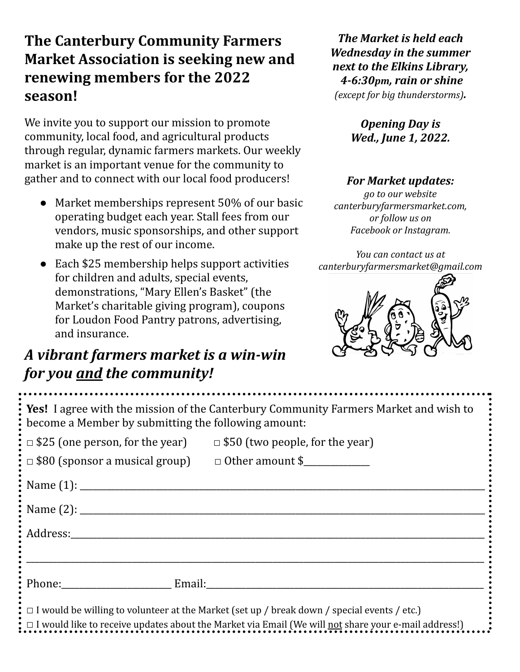## **The Canterbury Community Farmers Market Association is seeking new and renewing members for the 2022 season!**

We invite you to support our mission to promote community, local food, and agricultural products through regular, dynamic farmers markets. Our weekly market is an important venue for the community to gather and to connect with our local food producers!

- Market memberships represent 50% of our basic operating budget each year. Stall fees from our vendors, music sponsorships, and other support make up the rest of our income.
- Each \$25 membership helps support activities for children and adults, special events, demonstrations, "Mary Ellen's Basket" (the Market's charitable giving program), coupons for Loudon Food Pantry patrons, advertising, and insurance.

## *A vibrant farmers market is a win-win for you and the community!*

*The Market is held each Wednesday in the summer next to the Elkins Library, 4-6:30pm, rain or shine (except for big thunderstorms).*

> *Opening Day is Wed., June 1, 2022.*

## *For Market updates:*

*go to our website canterburyfarmersmarket.com, or follow us on Facebook or Instagram.*

*You can contact us at canterburyfarmersmarket@gmail.com*



| Yes! I agree with the mission of the Canterbury Community Farmers Market and wish to<br>become a Member by submitting the following amount: |  |
|---------------------------------------------------------------------------------------------------------------------------------------------|--|
| : $\Box$ \$25 (one person, for the year) $\Box$ \$50 (two people, for the year)                                                             |  |
|                                                                                                                                             |  |
|                                                                                                                                             |  |
|                                                                                                                                             |  |
| Address:                                                                                                                                    |  |
|                                                                                                                                             |  |
| Phone: Email:                                                                                                                               |  |
| $\bullet$ $\Box$ I would be willing to volunteer at the Market (set up / break down / special events / etc.)                                |  |
| I would like to receive updates about the Market via Email (We will not share your e-mail address!)                                         |  |